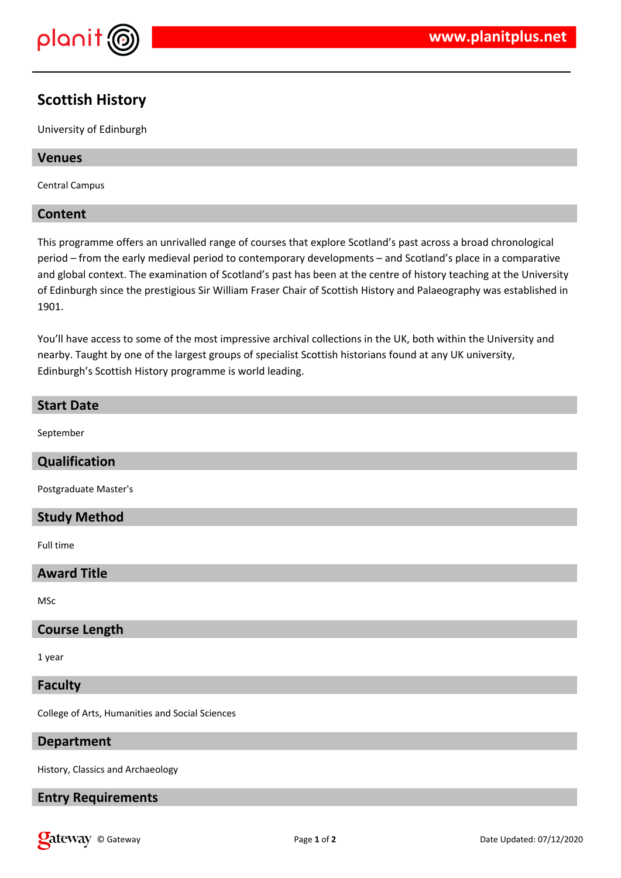

# **Scottish History**

University of Edinburgh

# **Venues**

Central Campus

# **Content**

This programme offers an unrivalled range of courses that explore Scotland's past across a broad chronological period – from the early medieval period to contemporary developments – and Scotland's place in a comparative and global context. The examination of Scotland's past has been at the centre of history teaching at the University of Edinburgh since the prestigious Sir William Fraser Chair of Scottish History and Palaeography was established in 1901.

You'll have access to some of the most impressive archival collections in the UK, both within the University and nearby. Taught by one of the largest groups of specialist Scottish historians found at any UK university, Edinburgh's Scottish History programme is world leading.

# **Start Date** September

# **Qualification**

Postgraduate Master's

# **Study Method**

Full time

# **Award Title**

MSc

# **Course Length**

1 year

#### **Faculty**

College of Arts, Humanities and Social Sciences

# **Department**

History, Classics and Archaeology

# **Entry Requirements**